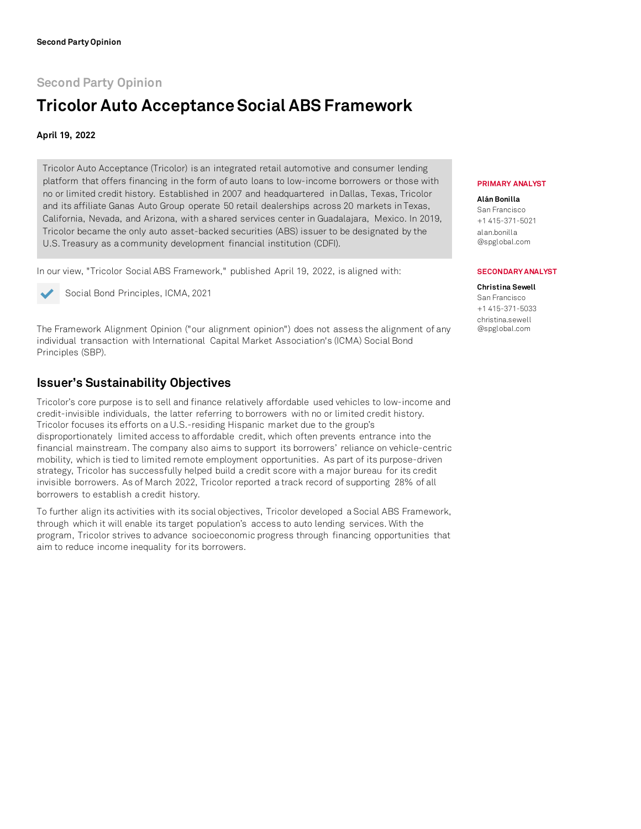# **Second Party Opinion**

# **Tricolor Auto AcceptanceSocial ABS Framework**

## **April 19, 2022**

Tricolor Auto Acceptance (Tricolor) is an integrated retail automotive and consumer lending platform that offers financing in the form of auto loans to low-income borrowers or those with no or limited credit history. Established in 2007 and headquartered in Dallas, Texas, Tricolor and its affiliate Ganas Auto Group operate 50 retail dealerships across 20 markets in Texas, California, Nevada, and Arizona, with a shared services center in Guadalajara, Mexico. In 2019, Tricolor became the only auto asset-backed securities (ABS) issuer to be designated by the U.S. Treasury as a community development financial institution (CDFI).

In our view, "Tricolor Social ABS Framework," published April 19, 2022, is aligned with:



Social Bond Principles, ICMA, 2021

The Framework Alignment Opinion ("our alignment opinion") does not assess the alignment of any individual transaction with International Capital Market Association's (ICMA) Social Bond Principles (SBP).

## **Issuer's Sustainability Objectives**

Tricolor's core purpose is to sell and finance relatively affordable used vehicles to low-income and credit-invisible individuals, the latter referring to borrowers with no or limited credit history. Tricolor focuses its efforts on a U.S.-residing Hispanic market due to the group's disproportionately limited access to affordable credit, which often prevents entrance into the financial mainstream. The company also aims to support its borrowers' reliance on vehicle-centric mobility, which is tied to limited remote employment opportunities. As part of its purpose-driven strategy, Tricolor has successfully helped build a credit score with a major bureau for its credit invisible borrowers. As of March 2022, Tricolor reported a track record of supporting 28% of all borrowers to establish a credit history.

To further align its activities with its social objectives, Tricolor developed a Social ABS Framework, through which it will enable its target population's access to auto lending services. With the program, Tricolor strives to advance socioeconomic progress through financing opportunities that aim to reduce income inequality for its borrowers.

### **PRIMARY ANALYST**

**Alán Bonilla** San Francisco +1 415-371-5021 alan.bonilla @spglobal.com

### **SECONDARY ANALYST**

#### **Christina Sewell** San Francisco +1 415-371-5033 christina.sewell @spglobal.com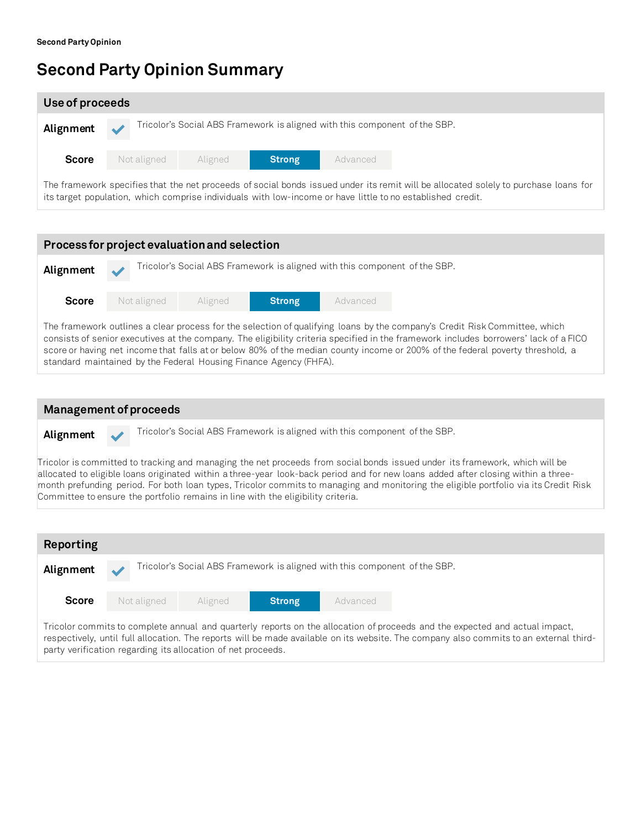# **Second Party Opinion Summary**

Committee to ensure the portfolio remains in line with the eligibility criteria.

| Use of proceeds                                                                                                                     |             |         |               |                                                                            |  |  |  |
|-------------------------------------------------------------------------------------------------------------------------------------|-------------|---------|---------------|----------------------------------------------------------------------------|--|--|--|
| Alignment                                                                                                                           |             |         |               | Tricolor's Social ABS Framework is aligned with this component of the SBP. |  |  |  |
| <b>Score</b>                                                                                                                        | Not aligned | Aligned | <b>Strong</b> | Advanced                                                                   |  |  |  |
| The framework specifies that the net proceeds of social bonds issued under its remit will be allocated solely to purchase loans for |             |         |               |                                                                            |  |  |  |

its target population, which comprise individuals with low-income or have little to no established credit.

**Process for project evaluation and selection** Alignment **Tricolor's Social ABS Framework is aligned with this component of the SBP. Score** The framework outlines a clear process for the selection of qualifying loans by the company's Credit Risk Committee, which Not aligned Aligned **Strong** Advanced

consists of senior executives at the company. The eligibility criteria specified in the framework includes borrowers' lack of a FICO score or having net income that falls at or below 80% of the median county income or 200% of the federal poverty threshold, a standard maintained by the Federal Housing Finance Agency (FHFA).

| <b>Management of proceeds</b> |  |                                                                                                                                                                                                                                                                                                                                                                                                          |  |  |  |
|-------------------------------|--|----------------------------------------------------------------------------------------------------------------------------------------------------------------------------------------------------------------------------------------------------------------------------------------------------------------------------------------------------------------------------------------------------------|--|--|--|
| Alignment                     |  | Tricolor's Social ABS Framework is aligned with this component of the SBP.                                                                                                                                                                                                                                                                                                                               |  |  |  |
|                               |  | Tricolor is committed to tracking and managing the net proceeds from social bonds issued under its framework, which will be<br>allocated to eligible loans originated within a three-year look-back period and for new loans added after closing within a three-<br>month prefunding period. For both loan types, Tricolor commits to managing and monitoring the eligible portfolio via its Credit Risk |  |  |  |

| Reporting                                                                                                                   |  |             |                                                                            |               |          |  |
|-----------------------------------------------------------------------------------------------------------------------------|--|-------------|----------------------------------------------------------------------------|---------------|----------|--|
| Alignment                                                                                                                   |  |             | Tricolor's Social ABS Framework is aligned with this component of the SBP. |               |          |  |
| <b>Score</b>                                                                                                                |  | Not aligned | Aligned                                                                    | <b>Strong</b> | Advanced |  |
| Tricolor commits to complete annual and quarterly reports on the allocation of proceeds and the expected and actual impact, |  |             |                                                                            |               |          |  |

respectively, until full allocation. The reports will be made available on its website. The company also commits to an external thirdparty verification regarding its allocation of net proceeds.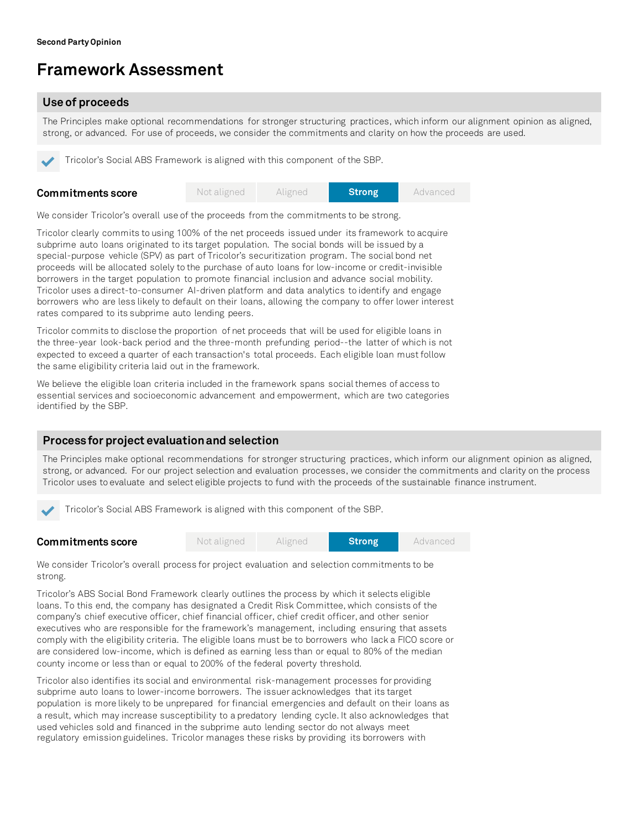# **Framework Assessment**

## **Use of proceeds**

The Principles make optional recommendations for stronger structuring practices, which inform our alignment opinion as aligned, strong, or advanced. For use of proceeds, we consider the commitments and clarity on how the proceeds are used.

Tricolor's Social ABS Framework is aligned with this component of the SBP.

| Commitments score | Not aligned | Aligned | <b>Strong</b> | Advanced |
|-------------------|-------------|---------|---------------|----------|
|                   |             |         |               |          |

We consider Tricolor's overall use of the proceeds from the commitments to be strong.

Tricolor clearly commits to using 100% of the net proceeds issued under its framework to acquire subprime auto loans originated to its target population. The social bonds will be issued by a special-purpose vehicle (SPV) as part of Tricolor's securitization program. The social bond net proceeds will be allocated solely to the purchase of auto loans for low-income or credit-invisible borrowers in the target population to promote financial inclusion and advance social mobility. Tricolor uses a direct-to-consumer AI-driven platform and data analytics to identify and engage borrowers who are less likely to default on their loans, allowing the company to offer lower interest rates compared to its subprime auto lending peers.

Tricolor commits to disclose the proportion of net proceeds that will be used for eligible loans in the three-year look-back period and the three-month prefunding period--the latter of which is not expected to exceed a quarter of each transaction's total proceeds. Each eligible loan must follow the same eligibility criteria laid out in the framework.

We believe the eligible loan criteria included in the framework spans social themes of access to essential services and socioeconomic advancement and empowerment, which are two categories identified by the SBP.

## **Process for project evaluation and selection**

The Principles make optional recommendations for stronger structuring practices, which inform our alignment opinion as aligned, strong, or advanced. For our project selection and evaluation processes, we consider the commitments and clarity on the process Tricolor uses to evaluate and select eligible projects to fund with the proceeds of the sustainable finance instrument.

Tricolor's Social ABS Framework is aligned with this component of the SBP.

|  | <b>Commitments score</b> | Not aligned | Aligned | <b>Strong</b> | Advanced |
|--|--------------------------|-------------|---------|---------------|----------|
|--|--------------------------|-------------|---------|---------------|----------|

We consider Tricolor's overall process for project evaluation and selection commitments to be strong.

Tricolor's ABS Social Bond Framework clearly outlines the process by which it selects eligible loans. To this end, the company has designated a Credit Risk Committee, which consists of the company's chief executive officer, chief financial officer, chief credit officer, and other senior executives who are responsible for the framework's management, including ensuring that assets comply with the eligibility criteria. The eligible loans must be to borrowers who lack a FICO score or are considered low-income, which is defined as earning less than or equal to 80% of the median county income or less than or equal to 200% of the federal poverty threshold.

Tricolor also identifies its social and environmental risk-management processes for providing subprime auto loans to lower-income borrowers. The issuer acknowledges that its target population is more likely to be unprepared for financial emergencies and default on their loans as a result, which may increase susceptibility to a predatory lending cycle. It also acknowledges that used vehicles sold and financed in the subprime auto lending sector do not always meet regulatory emission guidelines. Tricolor manages these risks by providing its borrowers with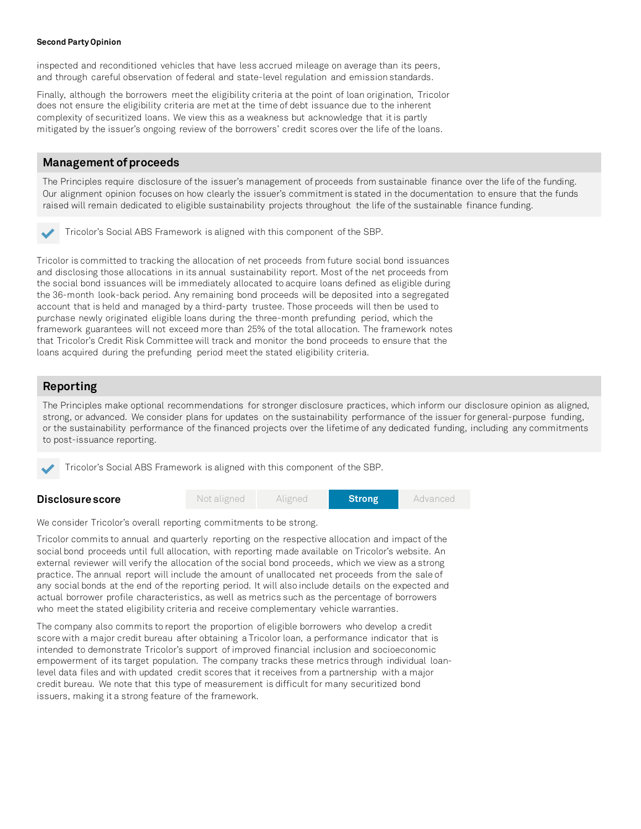#### **Second Party Opinion**

inspected and reconditioned vehicles that have less accrued mileage on average than its peers, and through careful observation of federal and state-level regulation and emission standards.

Finally, although the borrowers meet the eligibility criteria at the point of loan origination, Tricolor does not ensure the eligibility criteria are met at the time of debt issuance due to the inherent complexity of securitized loans. We view this as a weakness but acknowledge that it is partly mitigated by the issuer's ongoing review of the borrowers' credit scores over the life of the loans.

## **Management of proceeds**

The Principles require disclosure of the issuer's management of proceeds from sustainable finance over the life of the funding. Our alignment opinion focuses on how clearly the issuer's commitmentis stated in the documentation to ensure that the funds raised will remain dedicated to eligible sustainability projects throughout the life of the sustainable finance funding.

Tricolor's Social ABS Framework is aligned with this component of the SBP.

Tricolor is committed to tracking the allocation of net proceeds from future social bond issuances and disclosing those allocations in its annual sustainability report. Most of the net proceeds from the social bond issuances will be immediately allocated to acquire loans defined as eligible during the 36-month look-back period. Any remaining bond proceeds will be deposited into a segregated account that is held and managed by a third-party trustee. Those proceeds will then be used to purchase newly originated eligible loans during the three-month prefunding period, which the framework guarantees will not exceed more than 25% of the total allocation. The framework notes that Tricolor's Credit Risk Committee will track and monitor the bond proceeds to ensure that the loans acquired during the prefunding period meetthe stated eligibility criteria.

## **Reporting**

**Disclosurescore**

The Principles make optional recommendations for stronger disclosure practices, which inform our disclosure opinion as aligned, strong, or advanced. We consider plans for updates on the sustainability performance of the issuer for general-purpose funding, or the sustainability performance of the financed projects over the lifetime of any dedicated funding, including any commitments to post-issuance reporting.

Tricolor's Social ABS Framework is aligned with this component of the SBP.



We consider Tricolor's overall reporting commitments to be strong.

Tricolor commits to annual and quarterly reporting on the respective allocation and impact of the social bond proceeds until full allocation, with reporting made available on Tricolor's website. An external reviewer will verify the allocation of the social bond proceeds, which we view as a strong practice. The annual report will include the amount of unallocated net proceeds from the sale of any social bonds at the end of the reporting period. It will also include details on the expected and actual borrower profile characteristics, as well as metrics such as the percentage of borrowers who meet the stated eligibility criteria and receive complementary vehicle warranties.

The company also commits to report the proportion of eligible borrowers who develop a credit score with a major credit bureau after obtaining a Tricolor loan, a performance indicator that is intended to demonstrate Tricolor's support of improved financial inclusion and socioeconomic empowerment of its target population. The company tracks these metrics through individual loanlevel data files and with updated credit scores that it receives from a partnership with a major credit bureau. We note that this type of measurement is difficult for many securitized bond issuers, making it a strong feature of the framework.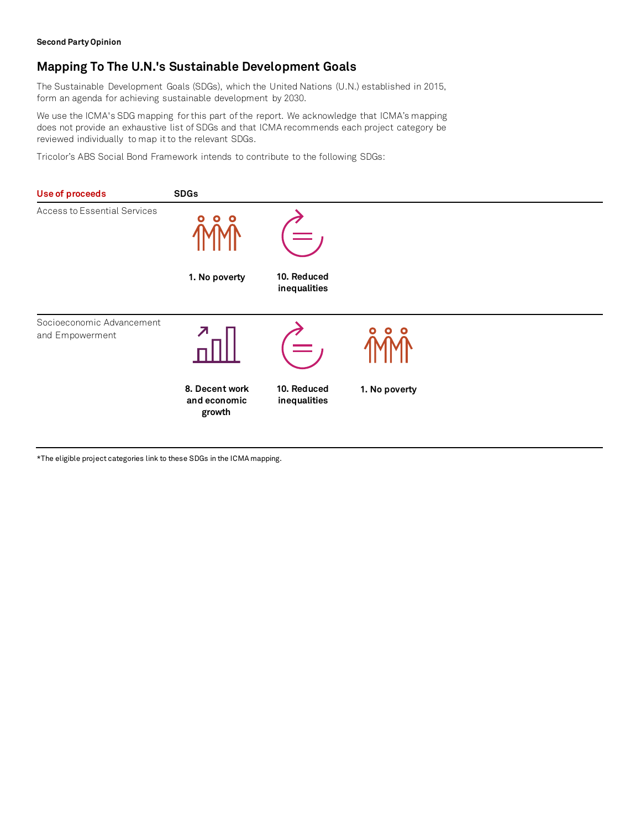# **Mapping To The U.N.'s Sustainable Development Goals**

The Sustainable Development Goals (SDGs), which the United Nations (U.N.) established in 2015, form an agenda for achieving sustainable development by 2030.

We use the ICMA's SDG mapping for this part of the report. We acknowledge that ICMA's mapping does not provide an exhaustive list of SDGs and that ICMA recommends each project category be reviewed individually to map it to the relevant SDGs.

Tricolor's ABS Social Bond Framework intends to contribute to the following SDGs:



\*The eligible project categories link to these SDGs in the ICMA mapping.